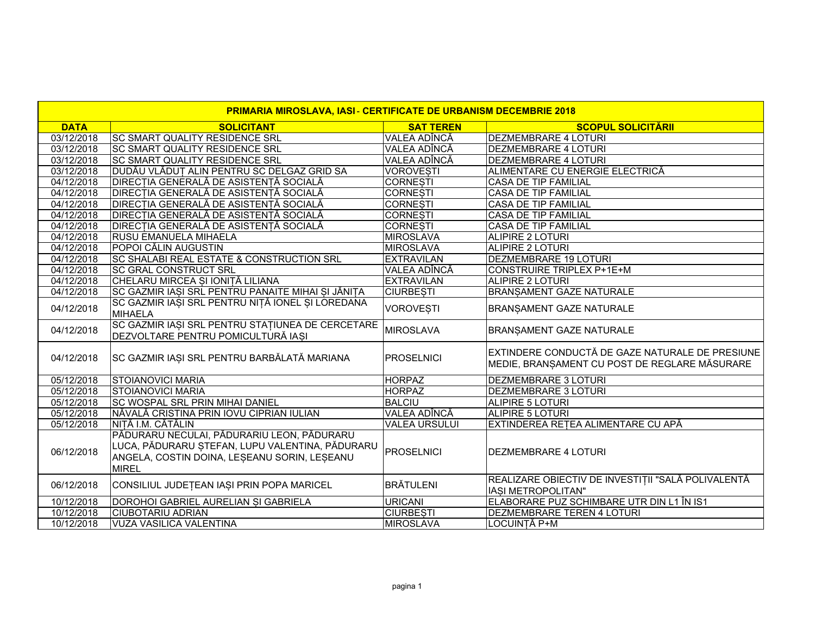| <b>PRIMARIA MIROSLAVA, IASI - CERTIFICATE DE URBANISM DECEMBRIE 2018</b> |                                                                                                                                                               |                      |                                                                                                  |  |  |
|--------------------------------------------------------------------------|---------------------------------------------------------------------------------------------------------------------------------------------------------------|----------------------|--------------------------------------------------------------------------------------------------|--|--|
| <b>DATA</b>                                                              | <b>SOLICITANT</b>                                                                                                                                             | <b>SAT TEREN</b>     | <b>SCOPUL SOLICITĂRII</b>                                                                        |  |  |
| 03/12/2018                                                               | <b>SC SMART QUALITY RESIDENCE SRL</b>                                                                                                                         | VALEA ADÎNCĂ         | <b>DEZMEMBRARE 4 LOTURI</b>                                                                      |  |  |
| 03/12/2018                                                               | <b>SC SMART QUALITY RESIDENCE SRL</b>                                                                                                                         | <b>VALEA ADÎNCĂ</b>  | <b>DEZMEMBRARE 4 LOTURI</b>                                                                      |  |  |
| 03/12/2018                                                               | <b>SC SMART QUALITY RESIDENCE SRL</b>                                                                                                                         | <b>VALEA ADÎNCĂ</b>  | DEZMEMBRARE 4 LOTURI                                                                             |  |  |
| 03/12/2018                                                               | DUDĂU VLĂDUT ALIN PENTRU SC DELGAZ GRID SA                                                                                                                    | <b>VOROVESTI</b>     | ALIMENTARE CU ENERGIE ELECTRICĂ                                                                  |  |  |
| 04/12/2018                                                               | <b>DIRECȚIA GENERALĂ DE ASISTENȚĂ SOCIALĂ</b>                                                                                                                 | <b>CORNESTI</b>      | <b>CASA DE TIP FAMILIAL</b>                                                                      |  |  |
| 04/12/2018                                                               | <b>DIRECȚIA GENERALĂ DE ASISTENȚĂ SOCIALĂ</b>                                                                                                                 | <b>CORNESTI</b>      | <b>CASA DE TIP FAMILIAL</b>                                                                      |  |  |
| 04/12/2018                                                               | DIRECTIA GENERALĂ DE ASISTENTĂ SOCIALĂ                                                                                                                        | <b>CORNESTI</b>      | <b>CASA DE TIP FAMILIAL</b>                                                                      |  |  |
| 04/12/2018                                                               | DIRECȚIA GENERALĂ DE ASISTENȚĂ SOCIALĂ                                                                                                                        | <b>CORNESTI</b>      | <b>CASA DE TIP FAMILIAL</b>                                                                      |  |  |
| 04/12/2018                                                               | DIRECȚIA GENERALĂ DE ASISTENȚĂ SOCIALĂ                                                                                                                        | <b>CORNESTI</b>      | CASA DE TIP FAMILIAL                                                                             |  |  |
| 04/12/2018                                                               | <b>RUSU EMANUELA MIHAELA</b>                                                                                                                                  | <b>MIROSLAVA</b>     | ALIPIRE 2 LOTURI                                                                                 |  |  |
| 04/12/2018                                                               | POPOI CĂLIN AUGUSTIN                                                                                                                                          | MIROSLAVA            | <b>ALIPIRE 2 LOTURI</b>                                                                          |  |  |
| 04/12/2018                                                               | <b>SC SHALABI REAL ESTATE &amp; CONSTRUCTION SRL</b>                                                                                                          | <b>EXTRAVILAN</b>    | DEZMEMBRARE 19 LOTURI                                                                            |  |  |
| 04/12/2018                                                               | <b>SC GRAL CONSTRUCT SRL</b>                                                                                                                                  | VALEA ADÎNCĂ         | <b>CONSTRUIRE TRIPLEX P+1E+M</b>                                                                 |  |  |
| 04/12/2018                                                               | CHELARU MIRCEA ȘI IONIȚĂ LILIANA                                                                                                                              | <b>EXTRAVILAN</b>    | <b>ALIPIRE 2 LOTURI</b>                                                                          |  |  |
| 04/12/2018                                                               | SC GAZMIR IASI SRL PENTRU PANAITE MIHAI SI JĂNIȚA                                                                                                             | <b>CIURBESTI</b>     | <b>BRANSAMENT GAZE NATURALE</b>                                                                  |  |  |
| 04/12/2018                                                               | SC GAZMIR IAȘI SRL PENTRU NIȚĂ IONEL ȘI LOREDANA<br><b>MIHAELA</b>                                                                                            | <b>VOROVESTI</b>     | BRANSAMENT GAZE NATURALE                                                                         |  |  |
| 04/12/2018                                                               | SC GAZMIR IASI SRL PENTRU STATIUNEA DE CERCETARE<br>DEZVOLTARE PENTRU POMICULTURĂ IASI                                                                        | MIROSLAVA            | BRANSAMENT GAZE NATURALE                                                                         |  |  |
| 04/12/2018                                                               | SC GAZMIR IAȘI SRL PENTRU BARBĂLATĂ MARIANA                                                                                                                   | PROSELNICI           | EXTINDERE CONDUCTĂ DE GAZE NATURALE DE PRESIUNE<br>MEDIE, BRANȘAMENT CU POST DE REGLARE MĂSURARE |  |  |
| 05/12/2018                                                               | <b>STOIANOVICI MARIA</b>                                                                                                                                      | <b>HORPAZ</b>        | DEZMEMBRARE 3 LOTURI                                                                             |  |  |
| 05/12/2018                                                               | <b>STOIANOVICI MARIA</b>                                                                                                                                      | <b>HORPAZ</b>        | DEZMEMBRARE 3 LOTURI                                                                             |  |  |
| 05/12/2018                                                               | SC WOSPAL SRL PRIN MIHAI DANIEL                                                                                                                               | <b>BALCIU</b>        | <b>ALIPIRE 5 LOTURI</b>                                                                          |  |  |
| 05/12/2018                                                               | NĂVALĂ CRISTINA PRIN IOVU CIPRIAN IULIAN                                                                                                                      | VALEA ADÎNCĂ         | ALIPIRE 5 LOTURI                                                                                 |  |  |
| 05/12/2018                                                               | NITĂ I.M. CĂTĂLIN                                                                                                                                             | <b>VALEA URSULUI</b> | EXTINDEREA REȚEA ALIMENTARE CU APĂ                                                               |  |  |
| 06/12/2018                                                               | PĂDURARU NECULAI, PĂDURARIU LEON, PĂDURARU<br>LUCA, PĂDURARU ȘTEFAN, LUPU VALENTINA, PĂDURARU<br>ANGELA, COSTIN DOINA, LESEANU SORIN, LESEANU<br><b>MIREL</b> | PROSELNICI           | <b>DEZMEMBRARE 4 LOTURI</b>                                                                      |  |  |
| 06/12/2018                                                               | CONSILIUL JUDEȚEAN IAȘI PRIN POPA MARICEL                                                                                                                     | <b>BRÄTULENI</b>     | REALIZARE OBIECTIV DE INVESTIȚII "SALĂ POLIVALENTĂ<br>IASI METROPOLITAN"                         |  |  |
| 10/12/2018                                                               | DOROHOI GABRIEL AURELIAN SI GABRIELA                                                                                                                          | URICANI              | ELABORARE PUZ SCHIMBARE UTR DIN L1 ÎN IS1                                                        |  |  |
| 10/12/2018                                                               | <b>CIUBOTARIU ADRIAN</b>                                                                                                                                      | <b>CIURBESTI</b>     | DEZMEMBRARE TEREN 4 LOTURI                                                                       |  |  |
| 10/12/2018                                                               | <b>VUZA VASILICA VALENTINA</b>                                                                                                                                | MIROSLAVA            | LOCUINȚĂ P+M                                                                                     |  |  |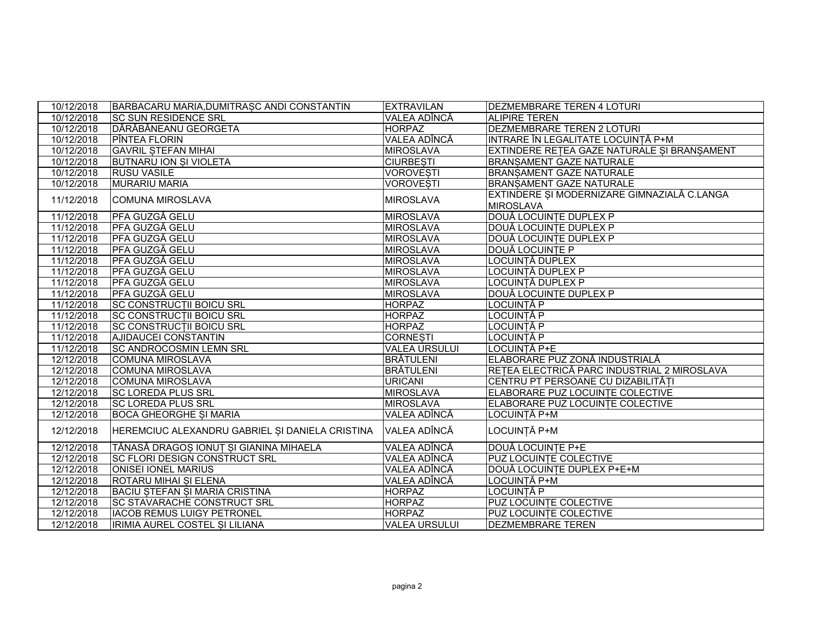| 10/12/2018 | BARBACARU MARIA, DUMITRASC ANDI CONSTANTIN      | <b>EXTRAVILAN</b>    | <b>DEZMEMBRARE TEREN 4 LOTURI</b>                               |
|------------|-------------------------------------------------|----------------------|-----------------------------------------------------------------|
| 10/12/2018 | <b>SC SUN RESIDENCE SRL</b>                     | VALEA ADÎNCĂ         | <b>ALIPIRE TEREN</b>                                            |
| 10/12/2018 | DĂRĂBĂNEANU GEORGETA                            | <b>HORPAZ</b>        | <b>DEZMEMBRARE TEREN 2 LOTURI</b>                               |
| 10/12/2018 | PÎNTEA FLORIN                                   | VALEA ADÎNCĂ         | INTRARE ÎN LEGALITATE LOCUINȚĂ P+M                              |
| 10/12/2018 | <b>GAVRIL STEFAN MIHAI</b>                      | <b>MIROSLAVA</b>     | EXTINDERE RETEA GAZE NATURALE SI BRANSAMENT                     |
| 10/12/2018 | <b>BUTNARU ION SI VIOLETA</b>                   | <b>CIURBESTI</b>     | <b>BRANSAMENT GAZE NATURALE</b>                                 |
| 10/12/2018 | <b>RUSU VASILE</b>                              | <b>VOROVESTI</b>     | <b>BRANSAMENT GAZE NATURALE</b>                                 |
| 10/12/2018 | <b>MURARIU MARIA</b>                            | <b>VOROVESTI</b>     | <b>BRANSAMENT GAZE NATURALE</b>                                 |
| 11/12/2018 | <b>COMUNA MIROSLAVA</b>                         | <b>MIROSLAVA</b>     | EXTINDERE ȘI MODERNIZARE GIMNAZIALĂ C.LANGA<br><b>MIROSLAVA</b> |
| 11/12/2018 | PFA GUZGĂ GELU                                  | MIROSLAVA            | DOUĂ LOCUINTE DUPLEX P                                          |
| 11/12/2018 | PFA GUZGĂ GELU                                  | MIROSLAVA            | DOUĂ LOCUINTE DUPLEX P                                          |
| 11/12/2018 | PFA GUZGĂ GELU                                  | <b>MIROSLAVA</b>     | DOUĂ LOCUINȚE DUPLEX P                                          |
| 11/12/2018 | <b>PFA GUZGĂ GELU</b>                           | <b>MIROSLAVA</b>     | DOUĂ LOCUINȚE P                                                 |
| 11/12/2018 | <b>PFA GUZGĂ GELU</b>                           | <b>MIROSLAVA</b>     | LOCUINTĂ DUPLEX                                                 |
| 11/12/2018 | <b>PFA GUZGĂ GELU</b>                           | <b>MIROSLAVA</b>     | LOCUINȚĂ DUPLEX P                                               |
| 11/12/2018 | PFA GUZGĂ GELU                                  | <b>MIROSLAVA</b>     | LOCUINTĂ DUPLEX P                                               |
| 11/12/2018 | <b>PFA GUZGĂ GELU</b>                           | <b>MIROSLAVA</b>     | DOUĂ LOCUINTE DUPLEX P                                          |
| 11/12/2018 | <b>SC CONSTRUCTII BOICU SRL</b>                 | <b>HORPAZ</b>        | <b>LOCUINTĂ P</b>                                               |
| 11/12/2018 | <b>SC CONSTRUCTII BOICU SRL</b>                 | <b>HORPAZ</b>        | <b>LOCUINTĂ P</b>                                               |
| 11/12/2018 | <b>SC CONSTRUCTII BOICU SRL</b>                 | <b>HORPAZ</b>        | LOCUINTĂ P                                                      |
| 11/12/2018 | AJIDAUCEI CONSTANTIN                            | <b>CORNESTI</b>      | LOCUINȚĂ P                                                      |
| 11/12/2018 | <b>SC ANDROCOSMIN LEMN SRL</b>                  | <b>VALEA URSULUI</b> | LOCUINTĂ P+E                                                    |
| 12/12/2018 | <b>COMUNA MIROSLAVA</b>                         | <b>BRÄTULENI</b>     | ELABORARE PUZ ZONĂ INDUSTRIALĂ                                  |
| 12/12/2018 | <b>COMUNA MIROSLAVA</b>                         | <b>BRĂTULENI</b>     | RETEA ELECTRICĂ PARC INDUSTRIAL 2 MIROSLAVA                     |
| 12/12/2018 | <b>COMUNA MIROSLAVA</b>                         | <b>URICANI</b>       | CENTRU PT PERSOANE CU DIZABILITĂȚI                              |
| 12/12/2018 | <b>SC LOREDA PLUS SRL</b>                       | <b>MIROSLAVA</b>     | ELABORARE PUZ LOCUINTE COLECTIVE                                |
| 12/12/2018 | <b>SC LOREDA PLUS SRL</b>                       | <b>MIROSLAVA</b>     | ELABORARE PUZ LOCUINTE COLECTIVE                                |
| 12/12/2018 | <b>BOCA GHEORGHE SI MARIA</b>                   | VALEA ADÎNCĂ         | LOCUINTĂ P+M                                                    |
| 12/12/2018 | HEREMCIUC ALEXANDRU GABRIEL ȘI DANIELA CRISTINA | VALEA ADÎNCĂ         | LOCUINȚĂ P+M                                                    |
| 12/12/2018 | TĂNASĂ DRAGOS IONUȚ SI GIANINA MIHAELA          | VALEA ADÎNCĂ         | DOUĂ LOCUINȚE P+E                                               |
| 12/12/2018 | SC FLORI DESIGN CONSTRUCT SRL                   | VALEA ADÎNCĂ         | <b>PUZ LOCUINTE COLECTIVE</b>                                   |
| 12/12/2018 | <b>ONISEI IONEL MARIUS</b>                      | VALEA ADÎNCĂ         | DOUĂ LOCUINȚE DUPLEX P+E+M                                      |
| 12/12/2018 | ROTARU MIHAI SI ELENA                           | VALEA ADÎNCĂ         | LOCUINTĂ P+M                                                    |
| 12/12/2018 | BACIU STEFAN SI MARIA CRISTINA                  | <b>HORPAZ</b>        | LOCUINȚĂ P                                                      |
| 12/12/2018 | <b>SC STAVARACHE CONSTRUCT SRL</b>              | <b>HORPAZ</b>        | <b>PUZ LOCUINTE COLECTIVE</b>                                   |
| 12/12/2018 | <b>IACOB REMUS LUIGY PETRONEL</b>               | <b>HORPAZ</b>        | <b>PUZ LOCUINTE COLECTIVE</b>                                   |
| 12/12/2018 | IRIMIA AUREL COSTEL SI LILIANA                  | <b>VALEA URSULUI</b> | <b>DEZMEMBRARE TEREN</b>                                        |